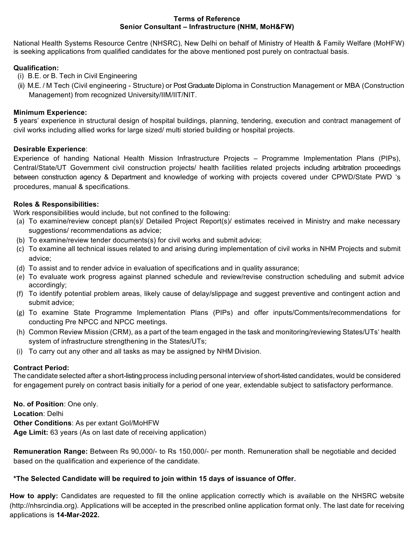### **Terms of Reference Senior Consultant – Infrastructure (NHM, MoH&FW)**

National Health Systems Resource Centre (NHSRC), New Delhi on behalf of Ministry of Health & Family Welfare (MoHFW) is seeking applications from qualified candidates for the above mentioned post purely on contractual basis.

# **Qualification:**

- (i) B.E. or B. Tech in Civil Engineering
- (ii) M.E. / M Tech (Civil engineering Structure) or Post Graduate Diploma in Construction Management or MBA (Construction Management) from recognized University/IIM/IIT/NIT.

## **Minimum Experience:**

**5** years' experience in structural design of hospital buildings, planning, tendering, execution and contract management of civil works including allied works for large sized/ multi storied building or hospital projects.

### **Desirable Experience**:

Experience of handing National Health Mission Infrastructure Projects – Programme Implementation Plans (PIPs), Central/State/UT Government civil construction projects/ health facilities related projects including arbitration proceedings between construction agency & Department and knowledge of working with projects covered under CPWD/State PWD 's procedures, manual & specifications.

## **Roles & Responsibilities:**

Work responsibilities would include, but not confined to the following:

- (a) To examine/review concept plan(s)/ Detailed Project Report(s)/ estimates received in Ministry and make necessary suggestions/ recommendations as advice;
- (b) To examine/review tender documents(s) for civil works and submit advice;
- (c) To examine all technical issues related to and arising during implementation of civil works in NHM Projects and submit advice;
- (d) To assist and to render advice in evaluation of specifications and in quality assurance;
- (e) To evaluate work progress against planned schedule and review/revise construction scheduling and submit advice accordingly;
- (f) To identify potential problem areas, likely cause of delay/slippage and suggest preventive and contingent action and submit advice;
- (g) To examine State Programme Implementation Plans (PIPs) and offer inputs/Comments/recommendations for conducting Pre NPCC and NPCC meetings.
- (h) Common Review Mission (CRM), as a part of the team engaged in the task and monitoring/reviewing States/UTs' health system of infrastructure strengthening in the States/UTs;
- (i) To carry out any other and all tasks as may be assigned by NHM Division.

# **Contract Period:**

The candidate selected after a short-listing process including personal interview of short-listed candidates, would be considered for engagement purely on contract basis initially for a period of one year, extendable subject to satisfactory performance.

**No. of Position**: One only. **Location**: Delhi **Other Conditions**: As per extant GoI/MoHFW **Age Limit:** 63 years (As on last date of receiving application)

**Remuneration Range:** Between Rs 90,000/- to Rs 150,000/- per month. Remuneration shall be negotiable and decided based on the qualification and experience of the candidate.

# **\*The Selected Candidate will be required to join within 15 days of issuance of Offer.**

**How to apply:** Candidates are requested to fill the online application correctly which is available on the NHSRC website (http://nhsrcindia.org). Applications will be accepted in the prescribed online application format only. The last date for receiving applications is **14-Mar-2022.**